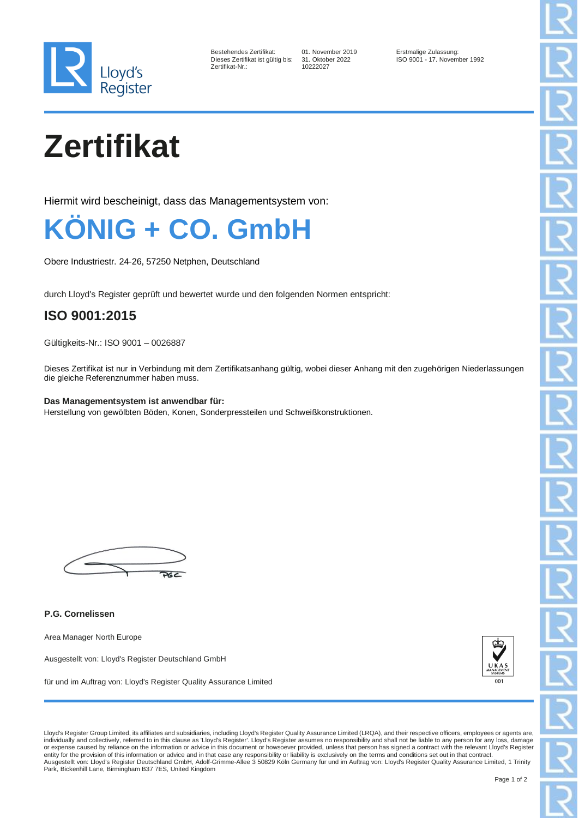

| Bestehendes Zertifikat:          |
|----------------------------------|
| Dieses Zertifikat ist gültig bi: |
| Zertifikat-Nr.:                  |

10222027

Bestehendes Zertifikat: 01. November 2019 Erstmalige Zulassung: Dieses Zertifikat ist gültig bis: 31. Oktober 2022 ISO 9001 - 17. November 1992

## **Zertifikat**

Hiermit wird bescheinigt, dass das Managementsystem von:



Obere Industriestr. 24-26, 57250 Netphen, Deutschland

durch Lloyd's Register geprüft und bewertet wurde und den folgenden Normen entspricht:

## **ISO 9001:2015**

Gültigkeits-Nr.: ISO 9001 – 0026887

Dieses Zertifikat ist nur in Verbindung mit dem Zertifikatsanhang gültig, wobei dieser Anhang mit den zugehörigen Niederlassungen die gleiche Referenznummer haben muss.

**Das Managementsystem ist anwendbar für:** Herstellung von gewölbten Böden, Konen, Sonderpressteilen und Schweißkonstruktionen.

 $26c$ 

**P.G. Cornelissen**

Area Manager North Europe

Ausgestellt von: Lloyd's Register Deutschland GmbH

für und im Auftrag von: Lloyd's Register Quality Assurance Limited



Lloyd's Register Group Limited, its affiliates and subsidiaries, including Lloyd's Register Quality Assurance Limited (LRQA), and their respective officers, employees or agents are, individually and collectively, referred to in this clause as 'Lloyd's Register'. Lloyd's Register assumes no responsibility and shall not be liable to any person for any loss, damage<br>or expense caused by reliance on the in entity for the provision of this information or advice and in that case any responsibility or liability is exclusively on the terms and conditions set out in that contract. Ausgestellt von: Lloyd's Register Deutschland GmbH, Adolf-Grimme-Allee 3 50829 Köln Germany für und im Auftrag von: Lloyd's Register Quality Assurance Limited, 1 Trinity Park, Bickenhill Lane, Birmingham B37 7ES, United Kingdom